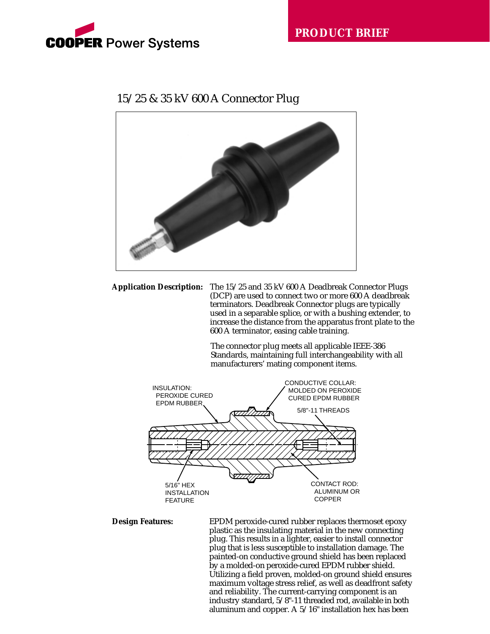

## 15/25 & 35 kV 600 A Connector Plug



**Application Description:** The 15/25 and 35 kV 600 A Deadbreak Connector Plugs (DCP) are used to connect two or more 600 A deadbreak terminators. Deadbreak Connector plugs are typically used in a separable splice, or with a bushing extender, to increase the distance from the apparatus front plate to the 600 A terminator, easing cable training.

> The connector plug meets all applicable IEEE-386 Standards, maintaining full interchangeability with all manufacturers' mating component items.



**Design Features:** EPDM peroxide-cured rubber replaces thermoset epoxy plastic as the insulating material in the new connecting plug. This results in a lighter, easier to install connector plug that is less susceptible to installation damage. The painted-on conductive ground shield has been replaced by a molded-on peroxide-cured EPDM rubber shield. Utilizing a field proven, molded-on ground shield ensures maximum voltage stress relief, as well as deadfront safety and reliability. The current-carrying component is an industry standard, 5/8"-11 threaded rod, available in both aluminum and copper. A 5/16" installation hex has been